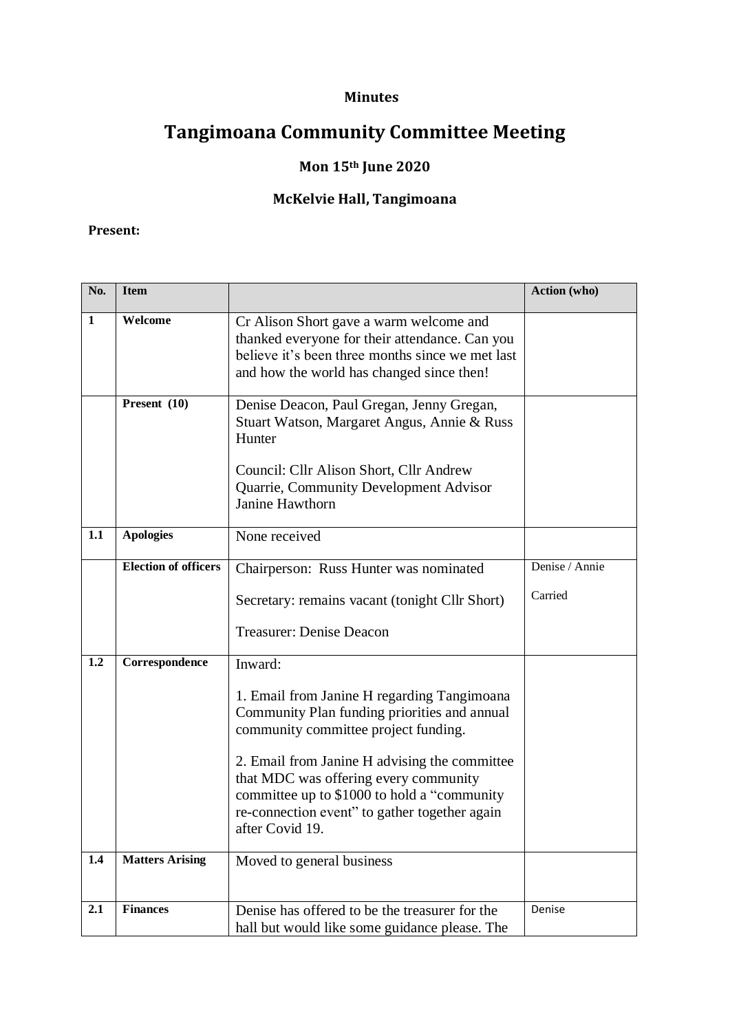### **Minutes**

# **Tangimoana Community Committee Meeting**

## **Mon 15th June 2020**

## **McKelvie Hall, Tangimoana**

### **Present:**

| No.          | <b>Item</b>                 |                                                                                                                                                                                                                                                                                                                                                  | Action (who)   |
|--------------|-----------------------------|--------------------------------------------------------------------------------------------------------------------------------------------------------------------------------------------------------------------------------------------------------------------------------------------------------------------------------------------------|----------------|
| $\mathbf{1}$ | Welcome                     | Cr Alison Short gave a warm welcome and<br>thanked everyone for their attendance. Can you<br>believe it's been three months since we met last<br>and how the world has changed since then!                                                                                                                                                       |                |
|              | Present $(10)$              | Denise Deacon, Paul Gregan, Jenny Gregan,<br>Stuart Watson, Margaret Angus, Annie & Russ<br>Hunter<br>Council: Cllr Alison Short, Cllr Andrew<br>Quarrie, Community Development Advisor<br><b>Janine Hawthorn</b>                                                                                                                                |                |
| 1.1          | <b>Apologies</b>            | None received                                                                                                                                                                                                                                                                                                                                    |                |
|              | <b>Election of officers</b> | Chairperson: Russ Hunter was nominated                                                                                                                                                                                                                                                                                                           | Denise / Annie |
|              |                             | Secretary: remains vacant (tonight Cllr Short)                                                                                                                                                                                                                                                                                                   | Carried        |
|              |                             | <b>Treasurer: Denise Deacon</b>                                                                                                                                                                                                                                                                                                                  |                |
| 1.2          | Correspondence              | Inward:                                                                                                                                                                                                                                                                                                                                          |                |
|              |                             | 1. Email from Janine H regarding Tangimoana<br>Community Plan funding priorities and annual<br>community committee project funding.<br>2. Email from Janine H advising the committee<br>that MDC was offering every community<br>committee up to \$1000 to hold a "community<br>re-connection event" to gather together again<br>after Covid 19. |                |
| 1.4          | <b>Matters Arising</b>      | Moved to general business                                                                                                                                                                                                                                                                                                                        |                |
| 2.1          | <b>Finances</b>             | Denise has offered to be the treasurer for the<br>hall but would like some guidance please. The                                                                                                                                                                                                                                                  | Denise         |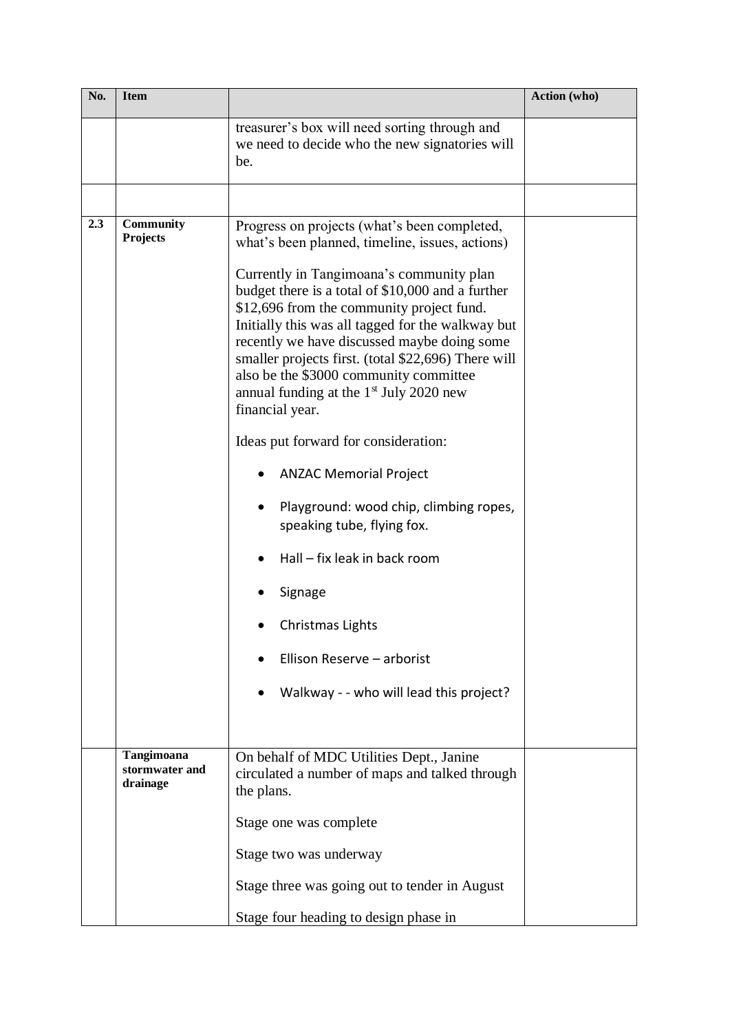| No. | <b>Item</b>                              |                                                                                                                                                                                                                                                                                                                                                                                                                                                                                                                                                                                                                                                                                                                                                                                         | Action (who) |
|-----|------------------------------------------|-----------------------------------------------------------------------------------------------------------------------------------------------------------------------------------------------------------------------------------------------------------------------------------------------------------------------------------------------------------------------------------------------------------------------------------------------------------------------------------------------------------------------------------------------------------------------------------------------------------------------------------------------------------------------------------------------------------------------------------------------------------------------------------------|--------------|
|     |                                          | treasurer's box will need sorting through and<br>we need to decide who the new signatories will<br>be.                                                                                                                                                                                                                                                                                                                                                                                                                                                                                                                                                                                                                                                                                  |              |
|     |                                          |                                                                                                                                                                                                                                                                                                                                                                                                                                                                                                                                                                                                                                                                                                                                                                                         |              |
| 2.3 | <b>Community</b><br>Projects             | Progress on projects (what's been completed,<br>what's been planned, timeline, issues, actions)<br>Currently in Tangimoana's community plan<br>budget there is a total of \$10,000 and a further<br>\$12,696 from the community project fund.<br>Initially this was all tagged for the walkway but<br>recently we have discussed maybe doing some<br>smaller projects first. (total \$22,696) There will<br>also be the \$3000 community committee<br>annual funding at the 1 <sup>st</sup> July 2020 new<br>financial year.<br>Ideas put forward for consideration:<br><b>ANZAC Memorial Project</b><br>$\bullet$<br>Playground: wood chip, climbing ropes,<br>speaking tube, flying fox.<br>Hall - fix leak in back room<br>Signage<br>Christmas Lights<br>Ellison Reserve - arborist |              |
|     |                                          | Walkway - - who will lead this project?                                                                                                                                                                                                                                                                                                                                                                                                                                                                                                                                                                                                                                                                                                                                                 |              |
|     | Tangimoana<br>stormwater and<br>drainage | On behalf of MDC Utilities Dept., Janine<br>circulated a number of maps and talked through<br>the plans.                                                                                                                                                                                                                                                                                                                                                                                                                                                                                                                                                                                                                                                                                |              |
|     |                                          | Stage one was complete                                                                                                                                                                                                                                                                                                                                                                                                                                                                                                                                                                                                                                                                                                                                                                  |              |
|     |                                          | Stage two was underway                                                                                                                                                                                                                                                                                                                                                                                                                                                                                                                                                                                                                                                                                                                                                                  |              |
|     |                                          | Stage three was going out to tender in August                                                                                                                                                                                                                                                                                                                                                                                                                                                                                                                                                                                                                                                                                                                                           |              |
|     |                                          | Stage four heading to design phase in                                                                                                                                                                                                                                                                                                                                                                                                                                                                                                                                                                                                                                                                                                                                                   |              |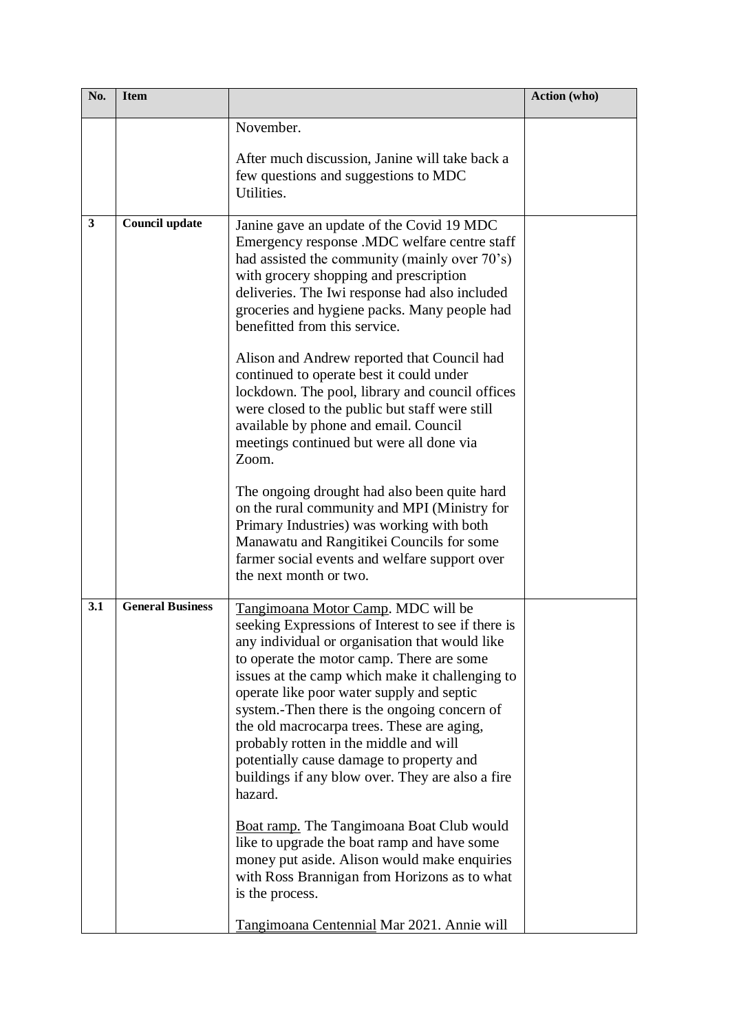| No.          | <b>Item</b>             |                                                                                                                                                                                                                                                                                                                                                                                                                                                                                                                                                                                                                                                                                                                                                                                                                | Action (who) |
|--------------|-------------------------|----------------------------------------------------------------------------------------------------------------------------------------------------------------------------------------------------------------------------------------------------------------------------------------------------------------------------------------------------------------------------------------------------------------------------------------------------------------------------------------------------------------------------------------------------------------------------------------------------------------------------------------------------------------------------------------------------------------------------------------------------------------------------------------------------------------|--------------|
|              |                         | November.<br>After much discussion, Janine will take back a<br>few questions and suggestions to MDC<br>Utilities.                                                                                                                                                                                                                                                                                                                                                                                                                                                                                                                                                                                                                                                                                              |              |
| $\mathbf{3}$ | Council update          | Janine gave an update of the Covid 19 MDC<br>Emergency response .MDC welfare centre staff<br>had assisted the community (mainly over 70's)<br>with grocery shopping and prescription<br>deliveries. The Iwi response had also included<br>groceries and hygiene packs. Many people had<br>benefitted from this service.<br>Alison and Andrew reported that Council had<br>continued to operate best it could under<br>lockdown. The pool, library and council offices<br>were closed to the public but staff were still<br>available by phone and email. Council<br>meetings continued but were all done via<br>Zoom.                                                                                                                                                                                          |              |
|              |                         | The ongoing drought had also been quite hard<br>on the rural community and MPI (Ministry for<br>Primary Industries) was working with both<br>Manawatu and Rangitikei Councils for some<br>farmer social events and welfare support over<br>the next month or two.                                                                                                                                                                                                                                                                                                                                                                                                                                                                                                                                              |              |
| 3.1          | <b>General Business</b> | Tangimoana Motor Camp. MDC will be<br>seeking Expressions of Interest to see if there is<br>any individual or organisation that would like<br>to operate the motor camp. There are some<br>issues at the camp which make it challenging to<br>operate like poor water supply and septic<br>system.-Then there is the ongoing concern of<br>the old macrocarpa trees. These are aging,<br>probably rotten in the middle and will<br>potentially cause damage to property and<br>buildings if any blow over. They are also a fire<br>hazard.<br><b>Boat ramp.</b> The Tangimoana Boat Club would<br>like to upgrade the boat ramp and have some<br>money put aside. Alison would make enquiries<br>with Ross Brannigan from Horizons as to what<br>is the process.<br>Tangimoana Centennial Mar 2021. Annie will |              |